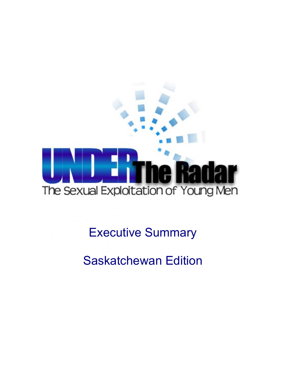

Executive Summary

Saskatchewan Edition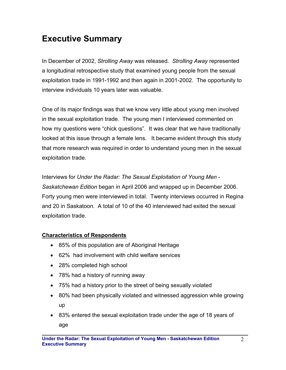## **Executive Summary**

In December of 2002, *Strolling Away* was released. *Strolling Away* represented a longitudinal retrospective study that examined young people from the sexual exploitation trade in 1991-1992 and then again in 2001-2002. The opportunity to interview individuals 10 years later was valuable.

One of its major findings was that we know very little about young men involved in the sexual exploitation trade. The young men I interviewed commented on how my questions were "chick questions". It was clear that we have traditionally looked at this issue through a female lens. It became evident through this study that more research was required in order to understand young men in the sexual exploitation trade.

Interviews for *Under the Radar: The Sexual Exploitation of Young Men* - *Saskatchewan Edition* began in April 2006 and wrapped up in December 2006. Forty young men were interviewed in total. Twenty interviews occurred in Regina and 20 in Saskatoon. A total of 10 of the 40 interviewed had exited the sexual exploitation trade.

## **Characteristics of Respondents**

- 85% of this population are of Aboriginal Heritage
- 62% had involvement with child welfare services
- 28% completed high school
- 78% had a history of running away
- 75% had a history prior to the street of being sexually violated
- 80% had been physically violated and witnessed aggression while growing up
- 83% entered the sexual exploitation trade under the age of 18 years of age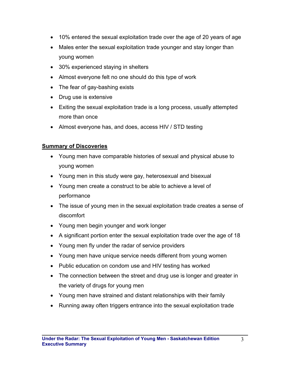- 10% entered the sexual exploitation trade over the age of 20 years of age
- Males enter the sexual exploitation trade younger and stay longer than young women
- 30% experienced staying in shelters
- Almost everyone felt no one should do this type of work
- The fear of gay-bashing exists
- Drug use is extensive
- Exiting the sexual exploitation trade is a long process, usually attempted more than once
- Almost everyone has, and does, access HIV / STD testing

## **Summary of Discoveries**

- Young men have comparable histories of sexual and physical abuse to young women
- Young men in this study were gay, heterosexual and bisexual
- Young men create a construct to be able to achieve a level of performance
- The issue of young men in the sexual exploitation trade creates a sense of discomfort
- Young men begin younger and work longer
- A significant portion enter the sexual exploitation trade over the age of 18
- Young men fly under the radar of service providers
- Young men have unique service needs different from young women
- Public education on condom use and HIV testing has worked
- The connection between the street and drug use is longer and greater in the variety of drugs for young men
- Young men have strained and distant relationships with their family
- Running away often triggers entrance into the sexual exploitation trade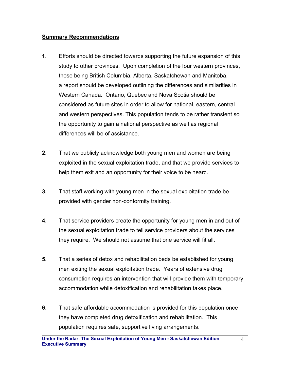## **Summary Recommendations**

- **1.** Efforts should be directed towards supporting the future expansion of this study to other provinces. Upon completion of the four western provinces, those being British Columbia, Alberta, Saskatchewan and Manitoba, a report should be developed outlining the differences and similarities in Western Canada. Ontario, Quebec and Nova Scotia should be considered as future sites in order to allow for national, eastern, central and western perspectives. This population tends to be rather transient so the opportunity to gain a national perspective as well as regional differences will be of assistance.
- **2.** That we publicly acknowledge both young men and women are being exploited in the sexual exploitation trade, and that we provide services to help them exit and an opportunity for their voice to be heard.
- **3.** That staff working with young men in the sexual exploitation trade be provided with gender non-conformity training.
- **4.** That service providers create the opportunity for young men in and out of the sexual exploitation trade to tell service providers about the services they require. We should not assume that one service will fit all.
- **5.** That a series of detox and rehabilitation beds be established for young men exiting the sexual exploitation trade. Years of extensive drug consumption requires an intervention that will provide them with temporary accommodation while detoxification and rehabilitation takes place.
- **6.** That safe affordable accommodation is provided for this population once they have completed drug detoxification and rehabilitation. This population requires safe, supportive living arrangements.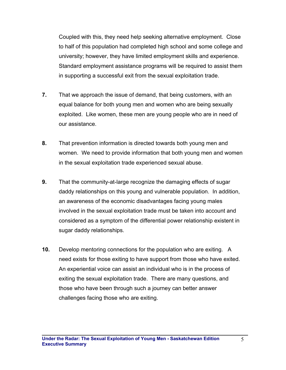Coupled with this, they need help seeking alternative employment. Close to half of this population had completed high school and some college and university; however, they have limited employment skills and experience. Standard employment assistance programs will be required to assist them in supporting a successful exit from the sexual exploitation trade.

- **7.** That we approach the issue of demand, that being customers, with an equal balance for both young men and women who are being sexually exploited. Like women, these men are young people who are in need of our assistance.
- **8.** That prevention information is directed towards both young men and women. We need to provide information that both young men and women in the sexual exploitation trade experienced sexual abuse.
- **9.** That the community-at-large recognize the damaging effects of sugar daddy relationships on this young and vulnerable population. In addition, an awareness of the economic disadvantages facing young males involved in the sexual exploitation trade must be taken into account and considered as a symptom of the differential power relationship existent in sugar daddy relationships.
- **10.** Develop mentoring connections for the population who are exiting. A need exists for those exiting to have support from those who have exited. An experiential voice can assist an individual who is in the process of exiting the sexual exploitation trade. There are many questions, and those who have been through such a journey can better answer challenges facing those who are exiting.